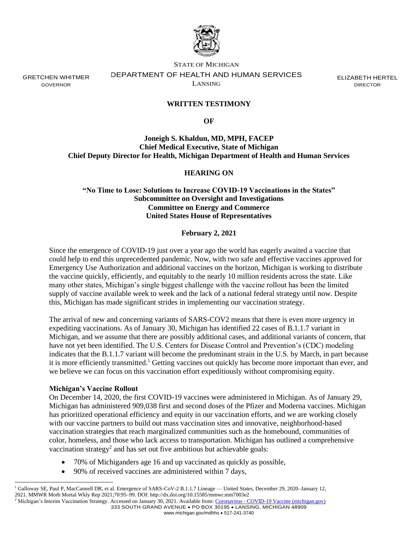

GRETCHEN WHITMER GOVERNOR

STATE OF MICHIGAN DEPARTMENT OF HEALTH AND HUMAN SERVICES LANSING

ELIZABETH HERTEL DIRECTOR

# **WRITTEN TESTIMONY**

**OF**

**Joneigh S. Khaldun, MD, MPH, FACEP Chief Medical Executive, State of Michigan Chief Deputy Director for Health, Michigan Department of Health and Human Services**

## **HEARING ON**

**"No Time to Lose: Solutions to Increase COVID-19 Vaccinations in the States" Subcommittee on Oversight and Investigations Committee on Energy and Commerce United States House of Representatives**

#### **February 2, 2021**

Since the emergence of COVID-19 just over a year ago the world has eagerly awaited a vaccine that could help to end this unprecedented pandemic. Now, with two safe and effective vaccines approved for Emergency Use Authorization and additional vaccines on the horizon, Michigan is working to distribute the vaccine quickly, efficiently, and equitably to the nearly 10 million residents across the state. Like many other states, Michigan's single biggest challenge with the vaccine rollout has been the limited supply of vaccine available week to week and the lack of a national federal strategy until now. Despite this, Michigan has made significant strides in implementing our vaccination strategy.

The arrival of new and concerning variants of SARS-COV2 means that there is even more urgency in expediting vaccinations. As of January 30, Michigan has identified 22 cases of B.1.1.7 variant in Michigan, and we assume that there are possibly additional cases, and additional variants of concern, that have not yet been identified. The U.S. Centers for Disease Control and Prevention's (CDC) modeling indicates that the B.1.1.7 variant will become the predominant strain in the U.S. by March, in part because it is more efficiently transmitted.<sup>1</sup> Getting vaccines out quickly has become more important than ever, and we believe we can focus on this vaccination effort expeditiously without compromising equity.

#### **Michigan's Vaccine Rollout**

On December 14, 2020, the first COVID-19 vaccines were administered in Michigan. As of January 29, Michigan has administered 909,038 first and second doses of the Pfizer and Moderna vaccines. Michigan has prioritized operational efficiency and equity in our vaccination efforts, and we are working closely with our vaccine partners to build out mass vaccination sites and innovative, neighborhood-based vaccination strategies that reach marginalized communities such as the homebound, communities of color, homeless, and those who lack access to transportation. Michigan has outlined a comprehensive vaccination strategy<sup>2</sup> and has set out five ambitious but achievable goals:

- 70% of Michiganders age 16 and up vaccinated as quickly as possible,
- 90% of received vaccines are administered within 7 days,

<sup>1</sup> Galloway SE, Paul P, MacCannell DR, et al. Emergence of SARS-CoV-2 B.1.1.7 Lineage — United States, December 29, 2020–January 12, 2021. MMWR Morb Mortal Wkly Rep 2021;70:95–99. DOI: http://dx.doi.org/10.15585/mmwr.mm7003e2

<sup>333</sup> SOUTH GRAND AVENUE • PO BOX 30195 • LANSING, MICHIGAN 48909 www.michigan.gov/mdhhs • 517-241-3740 <sup>2</sup> Michigan's Interim Vaccination Strategy. Accessed on January 30, 2021. Available from: Coronavirus - [COVID-19 Vaccine \(michigan.gov\)](https://www.michigan.gov/coronavirus/0,9753,7-406-98178_103214---,00.html)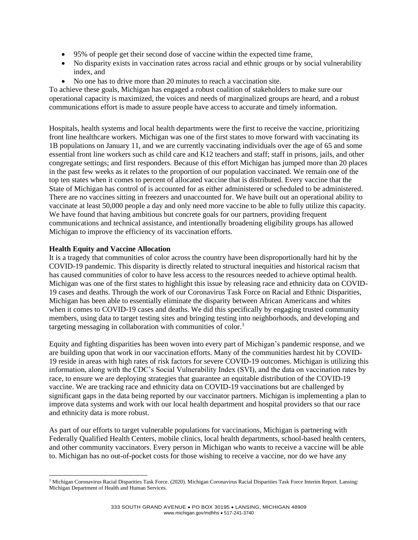- 95% of people get their second dose of vaccine within the expected time frame,
- No disparity exists in vaccination rates across racial and ethnic groups or by social vulnerability index, and
- No one has to drive more than 20 minutes to reach a vaccination site.

To achieve these goals, Michigan has engaged a robust coalition of stakeholders to make sure our operational capacity is maximized, the voices and needs of marginalized groups are heard, and a robust communications effort is made to assure people have access to accurate and timely information.

Hospitals, health systems and local health departments were the first to receive the vaccine, prioritizing front line healthcare workers. Michigan was one of the first states to move forward with vaccinating its 1B populations on January 11, and we are currently vaccinating individuals over the age of 65 and some essential front line workers such as child care and K12 teachers and staff; staff in prisons, jails, and other congregate settings; and first responders. Because of this effort Michigan has jumped more than 20 places in the past few weeks as it relates to the proportion of our population vaccinated. We remain one of the top ten states when it comes to percent of allocated vaccine that is distributed. Every vaccine that the State of Michigan has control of is accounted for as either administered or scheduled to be administered. There are no vaccines sitting in freezers and unaccounted for. We have built out an operational ability to vaccinate at least 50,000 people a day and only need more vaccine to be able to fully utilize this capacity. We have found that having ambitious but concrete goals for our partners, providing frequent communications and technical assistance, and intentionally broadening eligibility groups has allowed Michigan to improve the efficiency of its vaccination efforts.

# **Health Equity and Vaccine Allocation**

It is a tragedy that communities of color across the country have been disproportionally hard hit by the COVID-19 pandemic. This disparity is directly related to structural inequities and historical racism that has caused communities of color to have less access to the resources needed to achieve optimal health. Michigan was one of the first states to highlight this issue by releasing race and ethnicity data on COVID-19 cases and deaths. Through the work of our Coronavirus Task Force on Racial and Ethnic Disparities, Michigan has been able to essentially eliminate the disparity between African Americans and whites when it comes to COVID-19 cases and deaths. We did this specifically by engaging trusted community members, using data to target testing sites and bringing testing into neighborhoods, and developing and targeting messaging in collaboration with communities of color.<sup>3</sup>

Equity and fighting disparities has been woven into every part of Michigan's pandemic response, and we are building upon that work in our vaccination efforts. Many of the communities hardest hit by COVID-19 reside in areas with high rates of risk factors for severe COVID-19 outcomes. Michigan is utilizing this information, along with the CDC's Social Vulnerability Index (SVI), and the data on vaccination rates by race, to ensure we are deploying strategies that guarantee an equitable distribution of the COVID-19 vaccine. We are tracking race and ethnicity data on COVID-19 vaccinations but are challenged by significant gaps in the data being reported by our vaccinator partners. Michigan is implementing a plan to improve data systems and work with our local health department and hospital providers so that our race and ethnicity data is more robust.

As part of our efforts to target vulnerable populations for vaccinations, Michigan is partnering with Federally Qualified Health Centers, mobile clinics, local health departments, school-based health centers, and other community vaccinators. Every person in Michigan who wants to receive a vaccine will be able to. Michigan has no out-of-pocket costs for those wishing to receive a vaccine, nor do we have any

<sup>&</sup>lt;sup>3</sup> Michigan Coronavirus Racial Disparities Task Force. (2020). Michigan Coronavirus Racial Disparities Task Force Interim Report. Lansing: Michigan Department of Health and Human Services.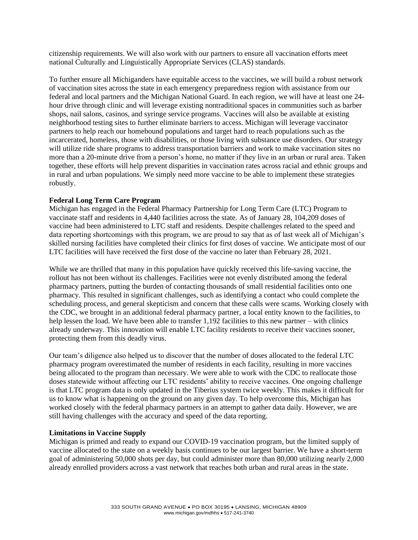citizenship requirements. We will also work with our partners to ensure all vaccination efforts meet national Culturally and Linguistically Appropriate Services (CLAS) standards.

To further ensure all Michiganders have equitable access to the vaccines, we will build a robust network of vaccination sites across the state in each emergency preparedness region with assistance from our federal and local partners and the Michigan National Guard. In each region, we will have at least one 24 hour drive through clinic and will leverage existing nontraditional spaces in communities such as barber shops, nail salons, casinos, and syringe service programs. Vaccines will also be available at existing neighborhood testing sites to further eliminate barriers to access. Michigan will leverage vaccinator partners to help reach our homebound populations and target hard to reach populations such as the incarcerated, homeless, those with disabilities, or those living with substance use disorders. Our strategy will utilize ride share programs to address transportation barriers and work to make vaccination sites no more than a 20-minute drive from a person's home, no matter if they live in an urban or rural area. Taken together, these efforts will help prevent disparities in vaccination rates across racial and ethnic groups and in rural and urban populations. We simply need more vaccine to be able to implement these strategies robustly.

## **Federal Long Term Care Program**

Michigan has engaged in the Federal Pharmacy Partnership for Long Term Care (LTC) Program to vaccinate staff and residents in 4,440 facilities across the state. As of January 28, 104,209 doses of vaccine had been administered to LTC staff and residents. Despite challenges related to the speed and data reporting shortcomings with this program, we are proud to say that as of last week all of Michigan's skilled nursing facilities have completed their clinics for first doses of vaccine. We anticipate most of our LTC facilities will have received the first dose of the vaccine no later than February 28, 2021.

While we are thrilled that many in this population have quickly received this life-saving vaccine, the rollout has not been without its challenges. Facilities were not evenly distributed among the federal pharmacy partners, putting the burden of contacting thousands of small residential facilities onto one pharmacy. This resulted in significant challenges, such as identifying a contact who could complete the scheduling process, and general skepticism and concern that these calls were scams. Working closely with the CDC, we brought in an additional federal pharmacy partner, a local entity known to the facilities, to help lessen the load. We have been able to transfer 1,192 facilities to this new partner – with clinics already underway. This innovation will enable LTC facility residents to receive their vaccines sooner, protecting them from this deadly virus.

Our team's diligence also helped us to discover that the number of doses allocated to the federal LTC pharmacy program overestimated the number of residents in each facility, resulting in more vaccines being allocated to the program than necessary. We were able to work with the CDC to reallocate those doses statewide without affecting our LTC residents' ability to receive vaccines. One ongoing challenge is that LTC program data is only updated in the Tiberius system twice weekly. This makes it difficult for us to know what is happening on the ground on any given day. To help overcome this, Michigan has worked closely with the federal pharmacy partners in an attempt to gather data daily. However, we are still having challenges with the accuracy and speed of the data reporting.

#### **Limitations in Vaccine Supply**

Michigan is primed and ready to expand our COVID-19 vaccination program, but the limited supply of vaccine allocated to the state on a weekly basis continues to be our largest barrier. We have a short-term goal of administering 50,000 shots per day, but could administer more than 80,000 utilizing nearly 2,000 already enrolled providers across a vast network that reaches both urban and rural areas in the state.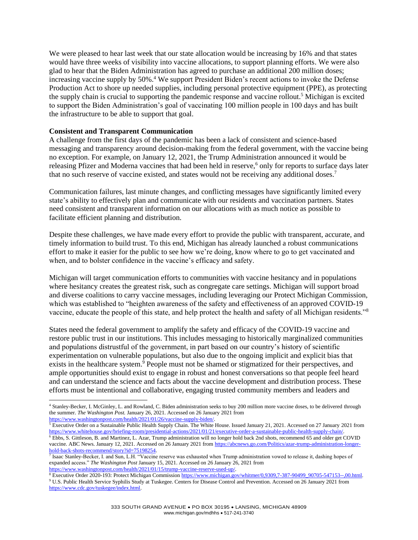We were pleased to hear last week that our state allocation would be increasing by 16% and that states would have three weeks of visibility into vaccine allocations, to support planning efforts. We were also glad to hear that the Biden Administration has agreed to purchase an additional 200 million doses; increasing vaccine supply by 50%.<sup>4</sup> We support President Biden's recent actions to invoke the Defense Production Act to shore up needed supplies, including personal protective equipment (PPE), as protecting the supply chain is crucial to supporting the pandemic response and vaccine rollout.<sup>5</sup> Michigan is excited to support the Biden Administration's goal of vaccinating 100 million people in 100 days and has built the infrastructure to be able to support that goal.

## **Consistent and Transparent Communication**

A challenge from the first days of the pandemic has been a lack of consistent and science-based messaging and transparency around decision-making from the federal government, with the vaccine being no exception. For example, on January 12, 2021, the Trump Administration announced it would be releasing Pfizer and Moderna vaccines that had been held in reserve,<sup>6</sup> only for reports to surface days later that no such reserve of vaccine existed, and states would not be receiving any additional doses.<sup>7</sup>

Communication failures, last minute changes, and conflicting messages have significantly limited every state's ability to effectively plan and communicate with our residents and vaccination partners. States need consistent and transparent information on our allocations with as much notice as possible to facilitate efficient planning and distribution.

Despite these challenges, we have made every effort to provide the public with transparent, accurate, and timely information to build trust. To this end, Michigan has already launched a robust communications effort to make it easier for the public to see how we're doing, know where to go to get vaccinated and when, and to bolster confidence in the vaccine's efficacy and safety.

Michigan will target communication efforts to communities with vaccine hesitancy and in populations where hesitancy creates the greatest risk, such as congregate care settings. Michigan will support broad and diverse coalitions to carry vaccine messages, including leveraging our Protect Michigan Commission, which was established to "heighten awareness of the safety and effectiveness of an approved COVID-19 vaccine, educate the people of this state, and help protect the health and safety of all Michigan residents."<sup>8</sup>

States need the federal government to amplify the safety and efficacy of the COVID-19 vaccine and restore public trust in our institutions. This includes messaging to historically marginalized communities and populations distrustful of the government, in part based on our country's history of scientific experimentation on vulnerable populations, but also due to the ongoing implicit and explicit bias that exists in the healthcare system.<sup>9</sup> People must not be shamed or stigmatized for their perspectives, and ample opportunities should exist to engage in robust and honest conversations so that people feel heard and can understand the science and facts about the vaccine development and distribution process. These efforts must be intentional and collaborative, engaging trusted community members and leaders and

<sup>4</sup> Stanley-Becker, I. McGinley, L. and Rowland, C. Biden administration seeks to buy 200 million more vaccine doses, to be delivered through the summer. *The Washington Post.* January 26, 2021. Accessed on 26 January 2021 from [https://www.washingtonpost.com/health/2021/01/26/vaccine-supply-biden/.](https://www.washingtonpost.com/health/2021/01/26/vaccine-supply-biden/) 

 $5$  Executive Order on a Sustainable Public Health Supply Chain. The White House. Issued January 21, 2021. Accessed on 27 January 2021 from https://www.whitehouse.gov/briefing-room/presidential-actions/2021/01/21/executive-order-a-sustainable-public-health-supply-chain

<sup>6</sup> Ebbs, S. Gittleson, B. and Martinez, L. Azar, Trump administration will no longer hold back 2nd shots, recommend 65 and older get COVID vaccine. ABC News. January 12, 2021. Accessed on 26 January 2021 fro[m https://abcnews.go.com/Politics/azar-trump-administration-longer](https://abcnews.go.com/Politics/azar-trump-administration-longer-hold-back-shots-recommend/story?id=75198254)[hold-back-shots-recommend/story?id=75198254.](https://abcnews.go.com/Politics/azar-trump-administration-longer-hold-back-shots-recommend/story?id=75198254)

<sup>7</sup> Isaac Stanley-Becker, I. and Sun, L.H. "Vaccine reserve was exhausted when Trump administration vowed to release it, dashing hopes of expanded access." *The Washington Post* January 15, 2021. Accessed on 26 January 26, 2021 from [https://www.washingtonpost.com/health/2021/01/15/trump-vaccine-reserve-used-up/.](https://www.washingtonpost.com/health/2021/01/15/trump-vaccine-reserve-used-up/) 

<sup>&</sup>lt;sup>8</sup> Executive Order 2020-193: Protect Michigan Commission [https://www.michigan.gov/whitmer/0,9309,7-387-90499\\_90705-547153--,00.html.](https://www.michigan.gov/whitmer/0,9309,7-387-90499_90705-547153--,00.html) <sup>9</sup> U.S. Public Health Service Syphilis Study at Tuskegee. Centers for Disease Control and Prevention. Accessed on 26 January 2021 from [https://www.cdc.gov/tuskegee/index.html.](https://www.cdc.gov/tuskegee/index.html)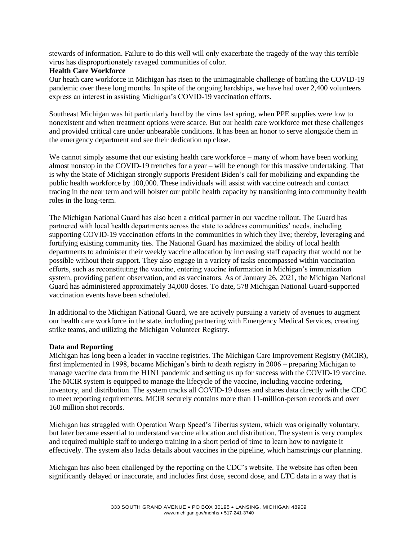stewards of information. Failure to do this well will only exacerbate the tragedy of the way this terrible virus has disproportionately ravaged communities of color.

## **Health Care Workforce**

Our heath care workforce in Michigan has risen to the unimaginable challenge of battling the COVID-19 pandemic over these long months. In spite of the ongoing hardships, we have had over 2,400 volunteers express an interest in assisting Michigan's COVID-19 vaccination efforts.

Southeast Michigan was hit particularly hard by the virus last spring, when PPE supplies were low to nonexistent and when treatment options were scarce. But our health care workforce met these challenges and provided critical care under unbearable conditions. It has been an honor to serve alongside them in the emergency department and see their dedication up close.

We cannot simply assume that our existing health care workforce – many of whom have been working almost nonstop in the COVID-19 trenches for a year – will be enough for this massive undertaking. That is why the State of Michigan strongly supports President Biden's call for mobilizing and expanding the public health workforce by 100,000. These individuals will assist with vaccine outreach and contact tracing in the near term and will bolster our public health capacity by transitioning into community health roles in the long-term.

The Michigan National Guard has also been a critical partner in our vaccine rollout. The Guard has partnered with local health departments across the state to address communities' needs, including supporting COVID-19 vaccination efforts in the communities in which they live; thereby, leveraging and fortifying existing community ties. The National Guard has maximized the ability of local health departments to administer their weekly vaccine allocation by increasing staff capacity that would not be possible without their support. They also engage in a variety of tasks encompassed within vaccination efforts, such as reconstituting the vaccine, entering vaccine information in Michigan's immunization system, providing patient observation, and as vaccinators. As of January 26, 2021, the Michigan National Guard has administered approximately 34,000 doses. To date, 578 Michigan National Guard-supported vaccination events have been scheduled.

In additional to the Michigan National Guard, we are actively pursuing a variety of avenues to augment our health care workforce in the state, including partnering with Emergency Medical Services, creating strike teams, and utilizing the Michigan Volunteer Registry.

#### **Data and Reporting**

Michigan has long been a leader in vaccine registries. The Michigan Care Improvement Registry (MCIR), first implemented in 1998, became Michigan's birth to death registry in 2006 – preparing Michigan to manage vaccine data from the H1N1 pandemic and setting us up for success with the COVID-19 vaccine. The MCIR system is equipped to manage the lifecycle of the vaccine, including vaccine ordering, inventory, and distribution. The system tracks all COVID-19 doses and shares data directly with the CDC to meet reporting requirements. MCIR securely contains more than 11-million-person records and over 160 million shot records.

Michigan has struggled with Operation Warp Speed's Tiberius system, which was originally voluntary, but later became essential to understand vaccine allocation and distribution. The system is very complex and required multiple staff to undergo training in a short period of time to learn how to navigate it effectively. The system also lacks details about vaccines in the pipeline, which hamstrings our planning.

Michigan has also been challenged by the reporting on the CDC's website. The website has often been significantly delayed or inaccurate, and includes first dose, second dose, and LTC data in a way that is